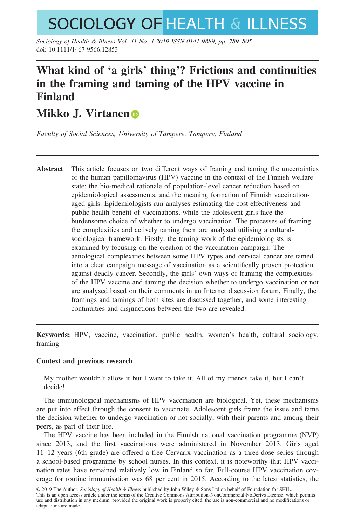# **SOCIOLOGY OF HEALTH & ILLNESS**

Sociology of Health & Illness Vol. 41 No. 4 2019 ISSN 0141-9889, pp. 789–805 doi: 10.1111/1467-9566.12853

# What kind of 'a girls' thing'? Frictions and continuities in the framing and taming of the HPV vaccine in Finland

# Mikko J. Virtanen

Faculty of Social Sciences, University of Tampere, Tampere, Finland

Abstract This article focuses on two different ways of framing and taming the uncertainties of the human papillomavirus (HPV) vaccine in the context of the Finnish welfare state: the bio-medical rationale of population-level cancer reduction based on epidemiological assessments, and the meaning formation of Finnish vaccinationaged girls. Epidemiologists run analyses estimating the cost-effectiveness and public health benefit of vaccinations, while the adolescent girls face the burdensome choice of whether to undergo vaccination. The processes of framing the complexities and actively taming them are analysed utilising a culturalsociological framework. Firstly, the taming work of the epidemiologists is examined by focusing on the creation of the vaccination campaign. The aetiological complexities between some HPV types and cervical cancer are tamed into a clear campaign message of vaccination as a scientifically proven protection against deadly cancer. Secondly, the girls' own ways of framing the complexities of the HPV vaccine and taming the decision whether to undergo vaccination or not are analysed based on their comments in an Internet discussion forum. Finally, the framings and tamings of both sites are discussed together, and some interesting continuities and disjunctions between the two are revealed.

Keywords: HPV, vaccine, vaccination, public health, women's health, cultural sociology, framing

# Context and previous research

My mother wouldn't allow it but I want to take it. All of my friends take it, but I can't decide!

The immunological mechanisms of HPV vaccination are biological. Yet, these mechanisms are put into effect through the consent to vaccinate. Adolescent girls frame the issue and tame the decision whether to undergo vaccination or not socially, with their parents and among their peers, as part of their life.

The HPV vaccine has been included in the Finnish national vaccination programme (NVP) since 2013, and the first vaccinations were administered in November 2013. Girls aged 11–12 years (6th grade) are offered a free Cervarix vaccination as a three-dose series through a school-based programme by school nurses. In this context, it is noteworthy that HPV vaccination rates have remained relatively low in Finland so far. Full-course HPV vaccination coverage for routine immunisation was 68 per cent in 2015. According to the latest statistics, the

© 2019 The Author. Sociology of Health & Illness published by John Wiley & Sons Ltd on behalf of Foundation for SHIL. This is an open access article under the terms of the [Creative Commons Attribution-NonCommercial-NoDerivs](http://creativecommons.org/licenses/by-nc-nd/4.0/) License, which permits use and distribution in any medium, provided the original work is properly cited, the use is non-commercial and no modifications or adaptations are made.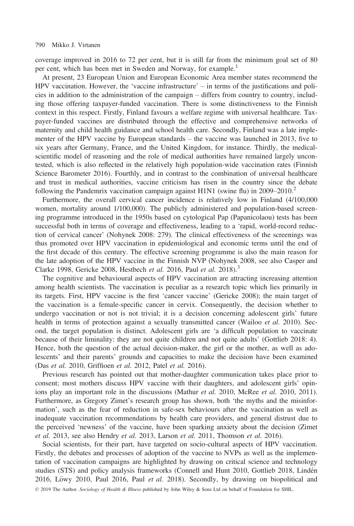coverage improved in 2016 to 72 per cent, but it is still far from the minimum goal set of 80 per cent, which has been met in Sweden and Norway, for example.<sup>1</sup>

At present, 23 European Union and European Economic Area member states recommend the HPV vaccination. However, the 'vaccine infrastructure' – in terms of the justifications and policies in addition to the administration of the campaign – differs from country to country, including those offering taxpayer-funded vaccination. There is some distinctiveness to the Finnish context in this respect. Firstly, Finland favours a welfare regime with universal healthcare. Taxpayer-funded vaccines are distributed through the effective and comprehensive networks of maternity and child health guidance and school health care. Secondly, Finland was a late implementer of the HPV vaccine by European standards – the vaccine was launched in 2013, five to six years after Germany, France, and the United Kingdom, for instance. Thirdly, the medicalscientific model of reasoning and the role of medical authorities have remained largely uncontested, which is also reflected in the relatively high population-wide vaccination rates (Finnish Science Barometer 2016). Fourthly, and in contrast to the combination of universal healthcare and trust in medical authorities, vaccine criticism has risen in the country since the debate following the Pandemrix vaccination campaign against  $H1N1$  (swine flu) in 2009–2010.<sup>2</sup>

Furthermore, the overall cervical cancer incidence is relatively low in Finland (4/100,000 women, mortality around 1/100,000). The publicly administered and population-based screening programme introduced in the 1950s based on cytological Pap (Papanicolaou) tests has been successful both in terms of coverage and effectiveness, leading to a 'rapid, world-record reduction of cervical cancer' (Nohynek 2008: 279). The clinical effectiveness of the screenings was thus promoted over HPV vaccination in epidemiological and economic terms until the end of the first decade of this century. The effective screening programme is also the main reason for the late adoption of the HPV vaccine in the Finnish NVP (Nohynek 2008, see also Casper and Clarke 1998, Gericke 2008, Hestbech et al. 2016, Paul et al.  $2018$ <sup>3</sup>

The cognitive and behavioural aspects of HPV vaccination are attracting increasing attention among health scientists. The vaccination is peculiar as a research topic which lies primarily in its targets. First, HPV vaccine is the first 'cancer vaccine' (Gericke 2008); the main target of the vaccination is a female-specific cancer in cervix. Consequently, the decision whether to undergo vaccination or not is not trivial; it is a decision concerning adolescent girls' future health in terms of protection against a sexually transmitted cancer (Wailoo *et al.* 2010). Second, the target population is distinct. Adolescent girls are 'a difficult population to vaccinate because of their liminality: they are not quite children and not quite adults' (Gottlieb 2018: 4). Hence, both the question of the actual decision-maker, the girl or the mother, as well as adolescents' and their parents' grounds and capacities to make the decision have been examined (Das et al. 2010, Griffioen et al. 2012, Patel et al. 2016).

Previous research has pointed out that mother-daughter communication takes place prior to consent; most mothers discuss HPV vaccine with their daughters, and adolescent girls' opinions play an important role in the discussions (Mathur *et al.* 2010, McRee *et al.* 2010, 2011). Furthermore, as Gregory Zimet's research group has shown, both 'the myths and the misinformation', such as the fear of reduction in safe-sex behaviours after the vaccination as well as inadequate vaccination recommendations by health care providers, and general distrust due to the perceived 'newness' of the vaccine, have been sparking anxiety about the decision (Zimet et al. 2013, see also Hendry et al. 2013, Larson et al. 2011, Thomson et al. 2016).

Social scientists, for their part, have targeted on socio-cultural aspects of HPV vaccination. Firstly, the debates and processes of adoption of the vaccine to NVPs as well as the implementation of vaccination campaigns are highlighted by drawing on critical science and technology studies (STS) and policy analysis frameworks (Connell and Hunt 2010, Gottlieb 2018, Linden 2016, Löwy 2010, Paul 2016, Paul et al. 2018). Secondly, by drawing on biopolitical and © 2019 The Author. Sociology of Health & Illness published by John Wiley & Sons Ltd on behalf of Foundation for SHIL.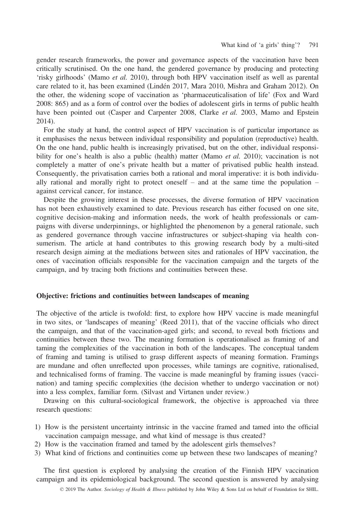gender research frameworks, the power and governance aspects of the vaccination have been critically scrutinised. On the one hand, the gendered governance by producing and protecting 'risky girlhoods' (Mamo et al. 2010), through both HPV vaccination itself as well as parental care related to it, has been examined (Linden 2017, Mara 2010, Mishra and Graham 2012). On the other, the widening scope of vaccination as 'pharmaceuticalisation of life' (Fox and Ward 2008: 865) and as a form of control over the bodies of adolescent girls in terms of public health have been pointed out (Casper and Carpenter 2008, Clarke et al. 2003, Mamo and Epstein 2014).

For the study at hand, the control aspect of HPV vaccination is of particular importance as it emphasises the nexus between individual responsibility and population (reproductive) health. On the one hand, public health is increasingly privatised, but on the other, individual responsibility for one's health is also a public (health) matter (Mamo *et al.* 2010); vaccination is not completely a matter of one's private health but a matter of privatised public health instead. Consequently, the privatisation carries both a rational and moral imperative: it is both individually rational and morally right to protect oneself – and at the same time the population – against cervical cancer, for instance.

Despite the growing interest in these processes, the diverse formation of HPV vaccination has not been exhaustively examined to date. Previous research has either focused on one site, cognitive decision-making and information needs, the work of health professionals or campaigns with diverse underpinnings, or highlighted the phenomenon by a general rationale, such as gendered governance through vaccine infrastructures or subject-shaping via health consumerism. The article at hand contributes to this growing research body by a multi-sited research design aiming at the mediations between sites and rationales of HPV vaccination, the ones of vaccination officials responsible for the vaccination campaign and the targets of the campaign, and by tracing both frictions and continuities between these.

#### Objective: frictions and continuities between landscapes of meaning

The objective of the article is twofold: first, to explore how HPV vaccine is made meaningful in two sites, or 'landscapes of meaning' (Reed 2011), that of the vaccine officials who direct the campaign, and that of the vaccination-aged girls; and second, to reveal both frictions and continuities between these two. The meaning formation is operationalised as framing of and taming the complexities of the vaccination in both of the landscapes. The conceptual tandem of framing and taming is utilised to grasp different aspects of meaning formation. Framings are mundane and often unreflected upon processes, while tamings are cognitive, rationalised, and technicalised forms of framing. The vaccine is made meaningful by framing issues (vaccination) and taming specific complexities (the decision whether to undergo vaccination or not) into a less complex, familiar form. (Silvast and Virtanen under review.)

Drawing on this cultural-sociological framework, the objective is approached via three research questions:

- 1) How is the persistent uncertainty intrinsic in the vaccine framed and tamed into the official vaccination campaign message, and what kind of message is thus created?
- 2) How is the vaccination framed and tamed by the adolescent girls themselves?
- 3) What kind of frictions and continuities come up between these two landscapes of meaning?

The first question is explored by analysing the creation of the Finnish HPV vaccination campaign and its epidemiological background. The second question is answered by analysing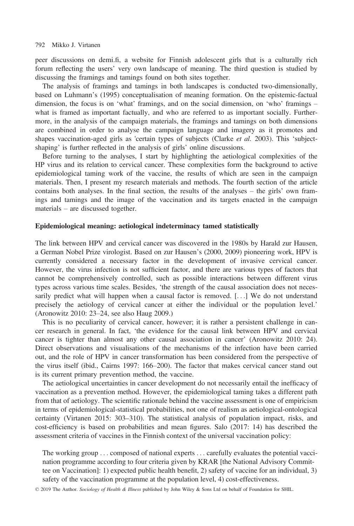peer discussions on demi.fi, a website for Finnish adolescent girls that is a culturally rich forum reflecting the users' very own landscape of meaning. The third question is studied by discussing the framings and tamings found on both sites together.

The analysis of framings and tamings in both landscapes is conducted two-dimensionally, based on Luhmann's (1995) conceptualisation of meaning formation. On the epistemic-factual dimension, the focus is on 'what' framings, and on the social dimension, on 'who' framings – what is framed as important factually, and who are referred to as important socially. Furthermore, in the analysis of the campaign materials, the framings and tamings on both dimensions are combined in order to analyse the campaign language and imagery as it promotes and shapes vaccination-aged girls as 'certain types of subjects (Clarke *et al.* 2003). This 'subjectshaping' is further reflected in the analysis of girls' online discussions.

Before turning to the analyses, I start by highlighting the aetiological complexities of the HP virus and its relation to cervical cancer. These complexities form the background to active epidemiological taming work of the vaccine, the results of which are seen in the campaign materials. Then, I present my research materials and methods. The fourth section of the article contains both analyses. In the final section, the results of the analyses – the girls' own framings and tamings and the image of the vaccination and its targets enacted in the campaign materials – are discussed together.

#### Epidemiological meaning: aetiological indeterminacy tamed statistically

The link between HPV and cervical cancer was discovered in the 1980s by Harald zur Hausen, a German Nobel Prize virologist. Based on zur Hausen's (2000, 2009) pioneering work, HPV is currently considered a necessary factor in the development of invasive cervical cancer. However, the virus infection is not sufficient factor, and there are various types of factors that cannot be comprehensively controlled, such as possible interactions between different virus types across various time scales. Besides, 'the strength of the causal association does not necessarily predict what will happen when a causal factor is removed. [...] We do not understand precisely the aetiology of cervical cancer at either the individual or the population level.' (Aronowitz 2010: 23–24, see also Haug 2009.)

This is no peculiarity of cervical cancer, however; it is rather a persistent challenge in cancer research in general. In fact, 'the evidence for the causal link between HPV and cervical cancer is tighter than almost any other causal association in cancer' (Aronowitz 2010: 24). Direct observations and visualisations of the mechanisms of the infection have been carried out, and the role of HPV in cancer transformation has been considered from the perspective of the virus itself (ibid., Cairns 1997: 166–200). The factor that makes cervical cancer stand out is its current primary prevention method, the vaccine.

The aetiological uncertainties in cancer development do not necessarily entail the inefficacy of vaccination as a prevention method. However, the epidemiological taming takes a different path from that of aetiology. The scientific rationale behind the vaccine assessment is one of empiricism in terms of epidemiological-statistical probabilities, not one of realism as aetiological-ontological certainty (Virtanen 2015: 303–310). The statistical analysis of population impact, risks, and cost-efficiency is based on probabilities and mean figures. Salo (2017: 14) has described the assessment criteria of vaccines in the Finnish context of the universal vaccination policy:

The working group ... composed of national experts ... carefully evaluates the potential vaccination programme according to four criteria given by KRAR [the National Advisory Committee on Vaccination]: 1) expected public health benefit, 2) safety of vaccine for an individual, 3) safety of the vaccination programme at the population level, 4) cost-effectiveness.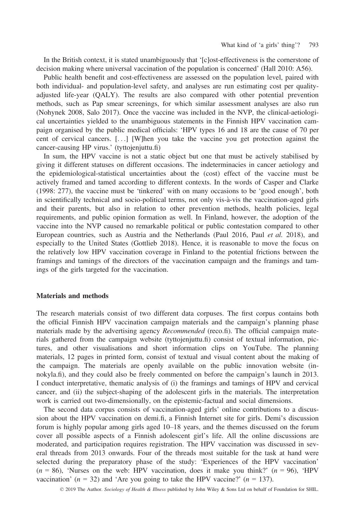In the British context, it is stated unambiguously that '[c]ost-effectiveness is the cornerstone of decision making where universal vaccination of the population is concerned' (Hall 2010: A56).

Public health benefit and cost-effectiveness are assessed on the population level, paired with both individual- and population-level safety, and analyses are run estimating cost per qualityadjusted life-year (QALY). The results are also compared with other potential prevention methods, such as Pap smear screenings, for which similar assessment analyses are also run (Nohynek 2008, Salo 2017). Once the vaccine was included in the NVP, the clinical-aetiological uncertainties yielded to the unambiguous statements in the Finnish HPV vaccination campaign organised by the public medical officials: 'HPV types 16 and 18 are the cause of 70 per cent of cervical cancers. [...] [W]hen you take the vaccine you get protection against the cancer-causing HP virus.' (tyttojenjuttu.fi)

In sum, the HPV vaccine is not a static object but one that must be actively stabilised by giving it different statuses on different occasions. The indeterminacies in cancer aetiology and the epidemiological-statistical uncertainties about the (cost) effect of the vaccine must be actively framed and tamed according to different contexts. In the words of Casper and Clarke (1998: 277), the vaccine must be 'tinkered' with on many occasions to be 'good enough', both in scientifically technical and socio-political terms, not only vis-a-vis the vaccination-aged girls and their parents, but also in relation to other prevention methods, health policies, legal requirements, and public opinion formation as well. In Finland, however, the adoption of the vaccine into the NVP caused no remarkable political or public contestation compared to other European countries, such as Austria and the Netherlands (Paul 2016, Paul et al. 2018), and especially to the United States (Gottlieb 2018). Hence, it is reasonable to move the focus on the relatively low HPV vaccination coverage in Finland to the potential frictions between the framings and tamings of the directors of the vaccination campaign and the framings and tamings of the girls targeted for the vaccination.

### Materials and methods

The research materials consist of two different data corpuses. The first corpus contains both the official Finnish HPV vaccination campaign materials and the campaign's planning phase materials made by the advertising agency *Recommended* (reco.fi). The official campaign materials gathered from the campaign website (tyttojenjuttu.fi) consist of textual information, pictures, and other visualisations and short information clips on YouTube. The planning materials, 12 pages in printed form, consist of textual and visual content about the making of the campaign. The materials are openly available on the public innovation website (innokyla.fi), and they could also be freely commented on before the campaign's launch in 2013. I conduct interpretative, thematic analysis of (i) the framings and tamings of HPV and cervical cancer, and (ii) the subject-shaping of the adolescent girls in the materials. The interpretation work is carried out two-dimensionally, on the epistemic-factual and social dimensions.

The second data corpus consists of vaccination-aged girls' online contributions to a discussion about the HPV vaccination on demi.fi, a Finnish Internet site for girls. Demi's discussion forum is highly popular among girls aged 10–18 years, and the themes discussed on the forum cover all possible aspects of a Finnish adolescent girl's life. All the online discussions are moderated, and participation requires registration. The HPV vaccination was discussed in several threads from 2013 onwards. Four of the threads most suitable for the task at hand were selected during the preparatory phase of the study: 'Experiences of the HPV vaccination'  $(n = 86)$ , 'Nurses on the web: HPV vaccination, does it make you think?'  $(n = 96)$ , 'HPV vaccination' ( $n = 32$ ) and 'Are you going to take the HPV vaccine?' ( $n = 137$ ).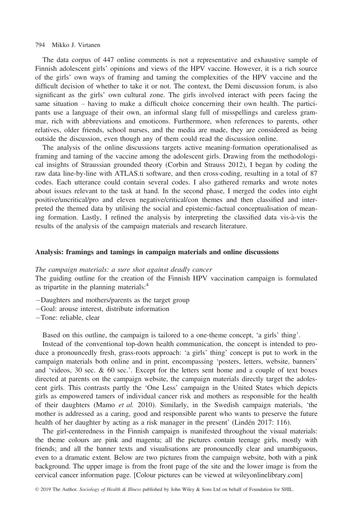The data corpus of 447 online comments is not a representative and exhaustive sample of Finnish adolescent girls' opinions and views of the HPV vaccine. However, it is a rich source of the girls' own ways of framing and taming the complexities of the HPV vaccine and the difficult decision of whether to take it or not. The context, the Demi discussion forum, is also significant as the girls' own cultural zone. The girls involved interact with peers facing the same situation – having to make a difficult choice concerning their own health. The participants use a language of their own, an informal slang full of misspellings and careless grammar, rich with abbreviations and emoticons. Furthermore, when references to parents, other relatives, older friends, school nurses, and the media are made, they are considered as being outside the discussion, even though any of them could read the discussion online.

The analysis of the online discussions targets active meaning-formation operationalised as framing and taming of the vaccine among the adolescent girls. Drawing from the methodological insights of Straussian grounded theory (Corbin and Strauss 2012), I began by coding the raw data line-by-line with ATLAS.ti software, and then cross-coding, resulting in a total of 87 codes. Each utterance could contain several codes. I also gathered remarks and wrote notes about issues relevant to the task at hand. In the second phase, I merged the codes into eight positive/uncritical/pro and eleven negative/critical/con themes and then classified and interpreted the themed data by utilising the social and epistemic-factual conceptualisation of meaning formation. Lastly, I refined the analysis by interpreting the classified data vis-à-vis the results of the analysis of the campaign materials and research literature.

#### Analysis: framings and tamings in campaign materials and online discussions

The campaign materials: a sure shot against deadly cancer

The guiding outline for the creation of the Finnish HPV vaccination campaign is formulated as tripartite in the planning materials:<sup>4</sup>

Daughters and mothers/parents as the target group

Goal: arouse interest, distribute information

Tone: reliable, clear

Based on this outline, the campaign is tailored to a one-theme concept, 'a girls' thing'.

Instead of the conventional top-down health communication, the concept is intended to produce a pronouncedly fresh, grass-roots approach: 'a girls' thing' concept is put to work in the campaign materials both online and in print, encompassing 'posters, letters, website, banners' and 'videos, 30 sec.  $\&$  60 sec.'. Except for the letters sent home and a couple of text boxes directed at parents on the campaign website, the campaign materials directly target the adolescent girls. This contrasts partly the 'One Less' campaign in the United States which depicts girls as empowered tamers of individual cancer risk and mothers as responsible for the health of their daughters (Mamo et al. 2010). Similarly, in the Swedish campaign materials, 'the mother is addressed as a caring, good and responsible parent who wants to preserve the future health of her daughter by acting as a risk manager in the present' (Lindén 2017: 116).

The girl-centeredness in the Finnish campaign is manifested throughout the visual materials: the theme colours are pink and magenta; all the pictures contain teenage girls, mostly with friends; and all the banner texts and visualisations are pronouncedly clear and unambiguous, even to a dramatic extent. Below are two pictures from the campaign website, both with a pink background. The upper image is from the front page of the site and the lower image is from the cervical cancer information page. [Colour pictures can be viewed at wileyonlinelibrary.com]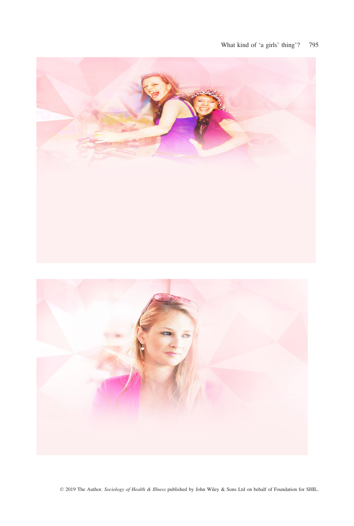

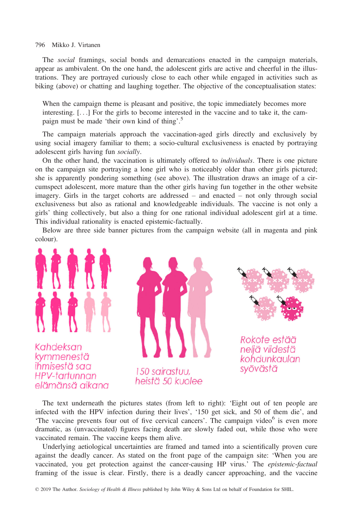The social framings, social bonds and demarcations enacted in the campaign materials, appear as ambivalent. On the one hand, the adolescent girls are active and cheerful in the illustrations. They are portrayed curiously close to each other while engaged in activities such as biking (above) or chatting and laughing together. The objective of the conceptualisation states:

When the campaign theme is pleasant and positive, the topic immediately becomes more interesting. [...] For the girls to become interested in the vaccine and to take it, the campaign must be made 'their own kind of thing'. 5

The campaign materials approach the vaccination-aged girls directly and exclusively by using social imagery familiar to them; a socio-cultural exclusiveness is enacted by portraying adolescent girls having fun socially.

On the other hand, the vaccination is ultimately offered to individuals. There is one picture on the campaign site portraying a lone girl who is noticeably older than other girls pictured; she is apparently pondering something (see above). The illustration draws an image of a circumspect adolescent, more mature than the other girls having fun together in the other website imagery. Girls in the target cohorts are addressed – and enacted – not only through social exclusiveness but also as rational and knowledgeable individuals. The vaccine is not only a girls' thing collectively, but also a thing for one rational individual adolescent girl at a time. This individual rationality is enacted epistemic-factually.

Below are three side banner pictures from the campaign website (all in magenta and pink colour).



The text underneath the pictures states (from left to right): 'Eight out of ten people are infected with the HPV infection during their lives', '150 get sick, and 50 of them die', and 'The vaccine prevents four out of five cervical cancers'. The campaign video $6$  is even more dramatic, as (unvaccinated) figures facing death are slowly faded out, while those who were vaccinated remain. The vaccine keeps them alive.

Underlying aetiological uncertainties are framed and tamed into a scientifically proven cure against the deadly cancer. As stated on the front page of the campaign site: 'When you are vaccinated, you get protection against the cancer-causing HP virus.' The epistemic-factual framing of the issue is clear. Firstly, there is a deadly cancer approaching, and the vaccine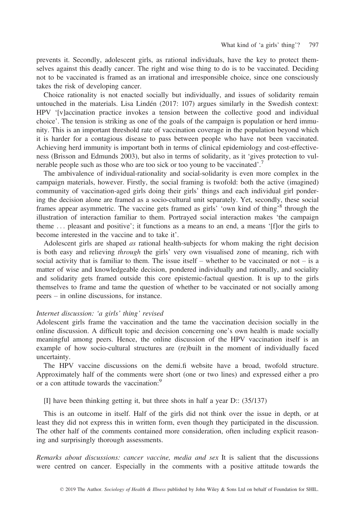prevents it. Secondly, adolescent girls, as rational individuals, have the key to protect themselves against this deadly cancer. The right and wise thing to do is to be vaccinated. Deciding not to be vaccinated is framed as an irrational and irresponsible choice, since one consciously takes the risk of developing cancer.

Choice rationality is not enacted socially but individually, and issues of solidarity remain untouched in the materials. Lisa Linden (2017: 107) argues similarly in the Swedish context: HPV '[v]accination practice invokes a tension between the collective good and individual choice'. The tension is striking as one of the goals of the campaign is population or herd immunity. This is an important threshold rate of vaccination coverage in the population beyond which it is harder for a contagious disease to pass between people who have not been vaccinated. Achieving herd immunity is important both in terms of clinical epidemiology and cost-effectiveness (Brisson and Edmunds 2003), but also in terms of solidarity, as it 'gives protection to vulnerable people such as those who are too sick or too young to be vaccinated'.<sup>7</sup>

The ambivalence of individual-rationality and social-solidarity is even more complex in the campaign materials, however. Firstly, the social framing is twofold: both the active (imagined) community of vaccination-aged girls doing their girls' things and each individual girl pondering the decision alone are framed as a socio-cultural unit separately. Yet, secondly, these social frames appear asymmetric. The vaccine gets framed as girls' 'own kind of thing'<sup>8</sup> through the illustration of interaction familiar to them. Portrayed social interaction makes 'the campaign theme ... pleasant and positive'; it functions as a means to an end, a means '[f]or the girls to become interested in the vaccine and to take it'.

Adolescent girls are shaped as rational health-subjects for whom making the right decision is both easy and relieving through the girls' very own visualised zone of meaning, rich with social activity that is familiar to them. The issue itself – whether to be vaccinated or not – is a matter of wise and knowledgeable decision, pondered individually and rationally, and sociality and solidarity gets framed outside this core epistemic-factual question. It is up to the girls themselves to frame and tame the question of whether to be vaccinated or not socially among peers – in online discussions, for instance.

# Internet discussion: 'a girls' thing' revised

Adolescent girls frame the vaccination and the tame the vaccination decision socially in the online discussion. A difficult topic and decision concerning one's own health is made socially meaningful among peers. Hence, the online discussion of the HPV vaccination itself is an example of how socio-cultural structures are (re)built in the moment of individually faced uncertainty.

The HPV vaccine discussions on the demi.fi website have a broad, twofold structure. Approximately half of the comments were short (one or two lines) and expressed either a pro or a con attitude towards the vaccination:<sup>9</sup>

[I] have been thinking getting it, but three shots in half a year D:: (35/137)

This is an outcome in itself. Half of the girls did not think over the issue in depth, or at least they did not express this in written form, even though they participated in the discussion. The other half of the comments contained more consideration, often including explicit reasoning and surprisingly thorough assessments.

Remarks about discussions: cancer vaccine, media and sex It is salient that the discussions were centred on cancer. Especially in the comments with a positive attitude towards the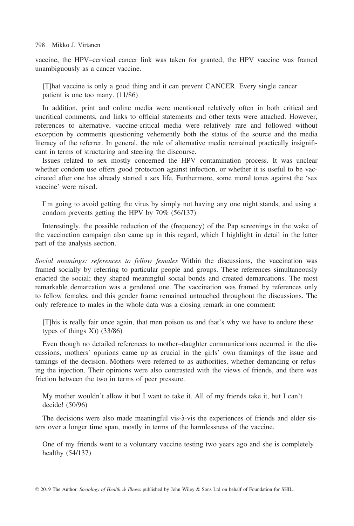vaccine, the HPV–cervical cancer link was taken for granted; the HPV vaccine was framed unambiguously as a cancer vaccine.

[T]hat vaccine is only a good thing and it can prevent CANCER. Every single cancer patient is one too many. (11/86)

In addition, print and online media were mentioned relatively often in both critical and uncritical comments, and links to official statements and other texts were attached. However, references to alternative, vaccine-critical media were relatively rare and followed without exception by comments questioning vehemently both the status of the source and the media literacy of the referrer. In general, the role of alternative media remained practically insignificant in terms of structuring and steering the discourse.

Issues related to sex mostly concerned the HPV contamination process. It was unclear whether condom use offers good protection against infection, or whether it is useful to be vaccinated after one has already started a sex life. Furthermore, some moral tones against the 'sex vaccine' were raised.

I'm going to avoid getting the virus by simply not having any one night stands, and using a condom prevents getting the HPV by 70% (56/137)

Interestingly, the possible reduction of the (frequency) of the Pap screenings in the wake of the vaccination campaign also came up in this regard, which I highlight in detail in the latter part of the analysis section.

Social meanings: references to fellow females Within the discussions, the vaccination was framed socially by referring to particular people and groups. These references simultaneously enacted the social; they shaped meaningful social bonds and created demarcations. The most remarkable demarcation was a gendered one. The vaccination was framed by references only to fellow females, and this gender frame remained untouched throughout the discussions. The only reference to males in the whole data was a closing remark in one comment:

[T]his is really fair once again, that men poison us and that's why we have to endure these types of things  $X$ ) (33/86)

Even though no detailed references to mother–daughter communications occurred in the discussions, mothers' opinions came up as crucial in the girls' own framings of the issue and tamings of the decision. Mothers were referred to as authorities, whether demanding or refusing the injection. Their opinions were also contrasted with the views of friends, and there was friction between the two in terms of peer pressure.

My mother wouldn't allow it but I want to take it. All of my friends take it, but I can't decide! (50/96)

The decisions were also made meaningful vis-à-vis the experiences of friends and elder sisters over a longer time span, mostly in terms of the harmlessness of the vaccine.

One of my friends went to a voluntary vaccine testing two years ago and she is completely healthy (54/137)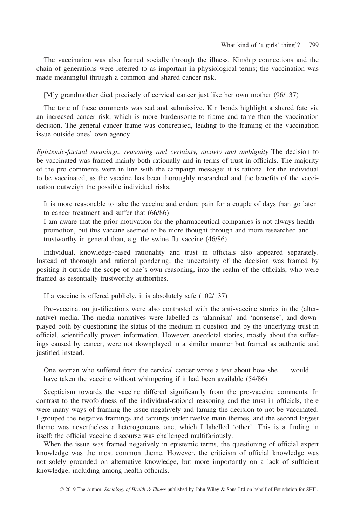The vaccination was also framed socially through the illness. Kinship connections and the chain of generations were referred to as important in physiological terms; the vaccination was made meaningful through a common and shared cancer risk.

[M]y grandmother died precisely of cervical cancer just like her own mother (96/137)

The tone of these comments was sad and submissive. Kin bonds highlight a shared fate via an increased cancer risk, which is more burdensome to frame and tame than the vaccination decision. The general cancer frame was concretised, leading to the framing of the vaccination issue outside ones' own agency.

Epistemic-factual meanings: reasoning and certainty, anxiety and ambiguity The decision to be vaccinated was framed mainly both rationally and in terms of trust in officials. The majority of the pro comments were in line with the campaign message: it is rational for the individual to be vaccinated, as the vaccine has been thoroughly researched and the benefits of the vaccination outweigh the possible individual risks.

It is more reasonable to take the vaccine and endure pain for a couple of days than go later to cancer treatment and suffer that (66/86)

I am aware that the prior motivation for the pharmaceutical companies is not always health promotion, but this vaccine seemed to be more thought through and more researched and trustworthy in general than, e.g. the swine flu vaccine (46/86)

Individual, knowledge-based rationality and trust in officials also appeared separately. Instead of thorough and rational pondering, the uncertainty of the decision was framed by positing it outside the scope of one's own reasoning, into the realm of the officials, who were framed as essentially trustworthy authorities.

If a vaccine is offered publicly, it is absolutely safe (102/137)

Pro-vaccination justifications were also contrasted with the anti-vaccine stories in the (alternative) media. The media narratives were labelled as 'alarmism' and 'nonsense', and downplayed both by questioning the status of the medium in question and by the underlying trust in official, scientifically proven information. However, anecdotal stories, mostly about the sufferings caused by cancer, were not downplayed in a similar manner but framed as authentic and justified instead.

One woman who suffered from the cervical cancer wrote a text about how she ... would have taken the vaccine without whimpering if it had been available (54/86)

Scepticism towards the vaccine differed significantly from the pro-vaccine comments. In contrast to the twofoldness of the individual-rational reasoning and the trust in officials, there were many ways of framing the issue negatively and taming the decision to not be vaccinated. I grouped the negative framings and tamings under twelve main themes, and the second largest theme was nevertheless a heterogeneous one, which I labelled 'other'. This is a finding in itself: the official vaccine discourse was challenged multifariously.

When the issue was framed negatively in epistemic terms, the questioning of official expert knowledge was the most common theme. However, the criticism of official knowledge was not solely grounded on alternative knowledge, but more importantly on a lack of sufficient knowledge, including among health officials.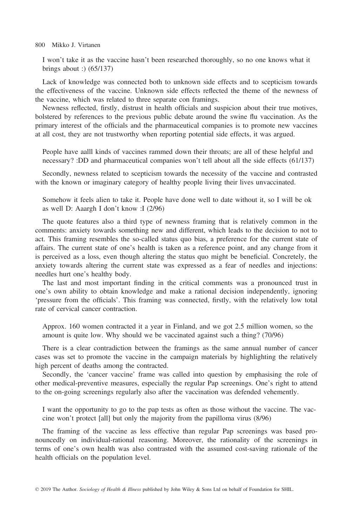I won't take it as the vaccine hasn't been researched thoroughly, so no one knows what it brings about :) (65/137)

Lack of knowledge was connected both to unknown side effects and to scepticism towards the effectiveness of the vaccine. Unknown side effects reflected the theme of the newness of the vaccine, which was related to three separate con framings.

Newness reflected, firstly, distrust in health officials and suspicion about their true motives, bolstered by references to the previous public debate around the swine flu vaccination. As the primary interest of the officials and the pharmaceutical companies is to promote new vaccines at all cost, they are not trustworthy when reporting potential side effects, it was argued.

People have aalll kinds of vaccines rammed down their throats; are all of these helpful and necessary? :DD and pharmaceutical companies won't tell about all the side effects (61/137)

Secondly, newness related to scepticism towards the necessity of the vaccine and contrasted with the known or imaginary category of healthy people living their lives unvaccinated.

Somehow it feels alien to take it. People have done well to date without it, so I will be ok as well D: Aaargh I don't know :I (2/96)

The quote features also a third type of newness framing that is relatively common in the comments: anxiety towards something new and different, which leads to the decision to not to act. This framing resembles the so-called status quo bias, a preference for the current state of affairs. The current state of one's health is taken as a reference point, and any change from it is perceived as a loss, even though altering the status quo might be beneficial. Concretely, the anxiety towards altering the current state was expressed as a fear of needles and injections: needles hurt one's healthy body.

The last and most important finding in the critical comments was a pronounced trust in one's own ability to obtain knowledge and make a rational decision independently, ignoring 'pressure from the officials'. This framing was connected, firstly, with the relatively low total rate of cervical cancer contraction.

Approx. 160 women contracted it a year in Finland, and we got 2.5 million women, so the amount is quite low. Why should we be vaccinated against such a thing? (70/96)

There is a clear contradiction between the framings as the same annual number of cancer cases was set to promote the vaccine in the campaign materials by highlighting the relatively high percent of deaths among the contracted.

Secondly, the 'cancer vaccine' frame was called into question by emphasising the role of other medical-preventive measures, especially the regular Pap screenings. One's right to attend to the on-going screenings regularly also after the vaccination was defended vehemently.

I want the opportunity to go to the pap tests as often as those without the vaccine. The vaccine won't protect [all] but only the majority from the papilloma virus (8/96)

The framing of the vaccine as less effective than regular Pap screenings was based pronouncedly on individual-rational reasoning. Moreover, the rationality of the screenings in terms of one's own health was also contrasted with the assumed cost-saving rationale of the health officials on the population level.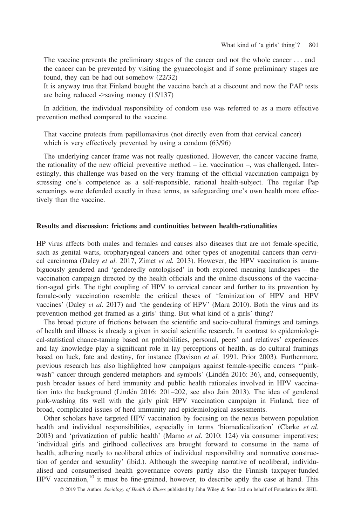The vaccine prevents the preliminary stages of the cancer and not the whole cancer ... and the cancer can be prevented by visiting the gynaecologist and if some preliminary stages are found, they can be had out somehow (22/32)

It is anyway true that Finland bought the vaccine batch at a discount and now the PAP tests are being reduced ->saving money (15/137)

In addition, the individual responsibility of condom use was referred to as a more effective prevention method compared to the vaccine.

That vaccine protects from papillomavirus (not directly even from that cervical cancer) which is very effectively prevented by using a condom (63/96)

The underlying cancer frame was not really questioned. However, the cancer vaccine frame, the rationality of the new official preventive method  $-$  i.e. vaccination  $-$ , was challenged. Interestingly, this challenge was based on the very framing of the official vaccination campaign by stressing one's competence as a self-responsible, rational health-subject. The regular Pap screenings were defended exactly in these terms, as safeguarding one's own health more effectively than the vaccine.

#### Results and discussion: frictions and continuities between health-rationalities

HP virus affects both males and females and causes also diseases that are not female-specific, such as genital warts, oropharyngeal cancers and other types of anogenital cancers than cervical carcinoma (Daley *et al.* 2017, Zimet *et al.* 2013). However, the HPV vaccination is unambiguously gendered and 'genderedly ontologised' in both explored meaning landscapes – the vaccination campaign directed by the health officials and the online discussions of the vaccination-aged girls. The tight coupling of HPV to cervical cancer and further to its prevention by female-only vaccination resemble the critical theses of 'feminization of HPV and HPV vaccines' (Daley et al. 2017) and 'the gendering of HPV' (Mara 2010). Both the virus and its prevention method get framed as a girls' thing. But what kind of a girls' thing?

The broad picture of frictions between the scientific and socio-cultural framings and tamings of health and illness is already a given in social scientific research. In contrast to epidemiological-statistical chance-taming based on probabilities, personal, peers' and relatives' experiences and lay knowledge play a significant role in lay perceptions of health, as do cultural framings based on luck, fate and destiny, for instance (Davison et al. 1991, Prior 2003). Furthermore, previous research has also highlighted how campaigns against female-specific cancers '"pinkwash" cancer through gendered metaphors and symbols' (Linden 2016: 36), and, consequently, push broader issues of herd immunity and public health rationales involved in HPV vaccination into the background (Linden 2016: 201–202, see also Jain 2013). The idea of gendered pink-washing fits well with the girly pink HPV vaccination campaign in Finland, free of broad, complicated issues of herd immunity and epidemiological assessments.

Other scholars have targeted HPV vaccination by focusing on the nexus between population health and individual responsibilities, especially in terms 'biomedicalization' (Clarke et al. 2003) and 'privatization of public health' (Mamo et al. 2010: 124) via consumer imperatives; 'individual girls and girlhood collectives are brought forward to consume in the name of health, adhering neatly to neoliberal ethics of individual responsibility and normative construction of gender and sexuality' (ibid.). Although the sweeping narrative of neoliberal, individualised and consumerised health governance covers partly also the Finnish taxpayer-funded HPV vaccination,<sup>10</sup> it must be fine-grained, however, to describe aptly the case at hand. This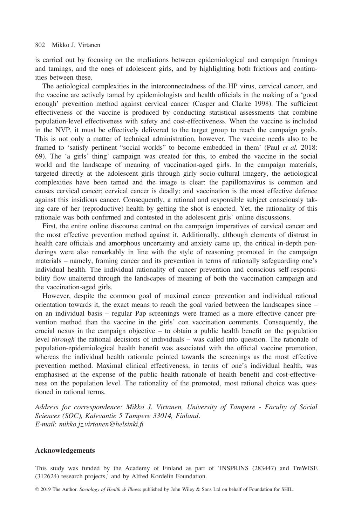is carried out by focusing on the mediations between epidemiological and campaign framings and tamings, and the ones of adolescent girls, and by highlighting both frictions and continuities between these.

The aetiological complexities in the interconnectedness of the HP virus, cervical cancer, and the vaccine are actively tamed by epidemiologists and health officials in the making of a 'good enough' prevention method against cervical cancer (Casper and Clarke 1998). The sufficient effectiveness of the vaccine is produced by conducting statistical assessments that combine population-level effectiveness with safety and cost-effectiveness. When the vaccine is included in the NVP, it must be effectively delivered to the target group to reach the campaign goals. This is not only a matter of technical administration, however. The vaccine needs also to be framed to 'satisfy pertinent "social worlds" to become embedded in them' (Paul et al. 2018: 69). The 'a girls' thing' campaign was created for this, to embed the vaccine in the social world and the landscape of meaning of vaccination-aged girls. In the campaign materials, targeted directly at the adolescent girls through girly socio-cultural imagery, the aetiological complexities have been tamed and the image is clear: the papillomavirus is common and causes cervical cancer; cervical cancer is deadly; and vaccination is the most effective defence against this insidious cancer. Consequently, a rational and responsible subject consciously taking care of her (reproductive) health by getting the shot is enacted. Yet, the rationality of this rationale was both confirmed and contested in the adolescent girls' online discussions.

First, the entire online discourse centred on the campaign imperatives of cervical cancer and the most effective prevention method against it. Additionally, although elements of distrust in health care officials and amorphous uncertainty and anxiety came up, the critical in-depth ponderings were also remarkably in line with the style of reasoning promoted in the campaign materials – namely, framing cancer and its prevention in terms of rationally safeguarding one's individual health. The individual rationality of cancer prevention and conscious self-responsibility flow unaltered through the landscapes of meaning of both the vaccination campaign and the vaccination-aged girls.

However, despite the common goal of maximal cancer prevention and individual rational orientation towards it, the exact means to reach the goal varied between the landscapes since – on an individual basis – regular Pap screenings were framed as a more effective cancer prevention method than the vaccine in the girls' con vaccination comments. Consequently, the crucial nexus in the campaign objective  $-$  to obtain a public health benefit on the population level through the rational decisions of individuals – was called into question. The rationale of population-epidemiological health benefit was associated with the official vaccine promotion, whereas the individual health rationale pointed towards the screenings as the most effective prevention method. Maximal clinical effectiveness, in terms of one's individual health, was emphasised at the expense of the public health rationale of health benefit and cost-effectiveness on the population level. The rationality of the promoted, most rational choice was questioned in rational terms.

Address for correspondence: Mikko J. Virtanen, University of Tampere - Faculty of Social Sciences (SOC), Kalevantie 5 Tampere 33014, Finland. E-mail: [mikko.jz.virtanen@helsinki.](mailto:)fi

### Acknowledgements

This study was funded by the Academy of Finland as part of 'INSPRINS (283447) and TreWISE (312624) research projects,' and by Alfred Kordelin Foundation.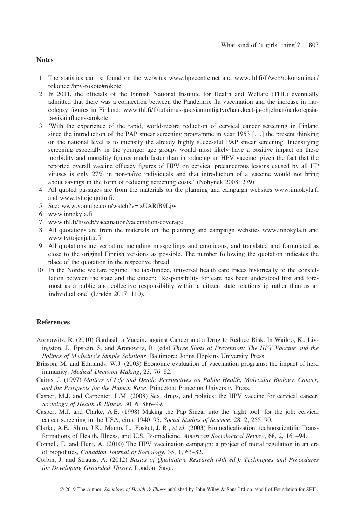# **Notes**

- 1 The statistics can be found on the websites [www.hpvcentre.net](http://www.hpvcentre.net) and www.thl.fi/fi[/web/rokottaminen/](http://www.thl.fi/fi/web/rokottaminen/rokotteet/hpv-rokote#rokote) [rokotteet/hpv-rokote#rokote](http://www.thl.fi/fi/web/rokottaminen/rokotteet/hpv-rokote#rokote).
- 2 In 2011, the officials of the Finnish National Institute for Health and Welfare (THL) eventually admitted that there was a connection between the Pandemrix flu vaccination and the increase in narcolepsy figures in Finland: www.thl.fi/fi[/tutkimus-ja-asiantuntijatyo/hankkeet-ja-ohjelmat/narkolepsia](http://www.thl.fi/fi/tutkimus-ja-asiantuntijatyo/hankkeet-ja-ohjelmat/narkolepsia-ja-sikainfluenssarokote)[ja-sikainfluenssarokote](http://www.thl.fi/fi/tutkimus-ja-asiantuntijatyo/hankkeet-ja-ohjelmat/narkolepsia-ja-sikainfluenssarokote)
- 3 'With the experience of the rapid, world-record reduction of cervical cancer screening in Finland since the introduction of the PAP smear screening programme in year 1953 [...] the present thinking on the national level is to intensify the already highly successful PAP smear screening. Intensifying screening especially in the younger age groups would most likely have a positive impact on these morbidity and mortality figures much faster than introducing an HPV vaccine, given the fact that the reported overall vaccine efficacy figures of HPV on cervical precancerous lesions caused by all HP viruses is only 27% in non-naïve individuals and that introduction of a vaccine would not bring about savings in the form of reducing screening costs.' (Nohynek 2008: 279)
- 4 All quoted passages are from the materials on the planning and campaign websites [www.innokyla.fi](http://www.innokyla.fi) and [www.tyttojenjuttu.fi](http://www.tyttojenjuttu.fi).
- 5 See: [www.youtube.com/watch?v=jzUARtB9Ljw](http://www.youtube.com/watch?v=jzUARtB9Ljw)
- 6 [www.innokyla.fi](http://www.innokyla.fi)
- 7 www.thl.fi/fi[/web/vaccination/vaccination-coverage](http://www.thl.fi/fi/web/vaccination/vaccination-coverage)
- 8 All quotations are from the materials on the planning and campaign websites<www.innokyla.fi> and [www.tyttojenjuttu.fi.](http://www.tyttojenjuttu.fi)
- 9 All quotations are verbatim, including misspellings and emoticons, and translated and formulated as close to the original Finnish versions as possible. The number following the quotation indicates the place of the quotation in the respective thread.
- 10 In the Nordic welfare regime, the tax-funded, universal health care traces historically to the constellation between the state and the citizen: 'Responsibility for care has been understood first and foremost as a public and collective responsibility within a citizen–state relationship rather than as an individual one' (Lindén 2017: 110).

# References

- Aronowitz, R. (2010) Gardasil: a Vaccine against Cancer and a Drug to Reduce Risk. In Wailoo, K., Livingston, J., Epstein, S. and Aronowitz, R. (eds) Three Shots at Prevention: The HPV Vaccine and the Politics of Medicine's Simple Solutions. Baltimore: Johns Hopkins University Press.
- Brisson, M. and Edmunds, W.J. (2003) Economic evaluation of vaccination programs: the impact of herd immunity, Medical Decision Making, 23, 76–82.
- Cairns, J. (1997) Matters of Life and Death: Perspectives on Public Health, Molecular Biology, Cancer, and the Prospects for the Human Race. Princeton: Princeton University Press.
- Casper, M.J. and Carpenter, L.M. (2008) Sex, drugs, and politics: the HPV vaccine for cervical cancer, Sociology of Health & Illness, 30, 6, 886–99.
- Casper, M.J. and Clarke, A.E. (1998) Making the Pap Smear into the 'right tool' for the job: cervical cancer screening in the USA, circa 1940–95, Social Studies of Science, 28, 2, 255–90.
- Clarke, A.E., Shim, J.K., Mamo, L., Fosket, J. R., et al. (2003) Biomedicalization: technoscientific Transformations of Health, Illness, and U.S. Biomedicine, American Sociological Review, 68, 2, 161–94.
- Connell, E. and Hunt, A. (2010) The HPV vaccination campaign: a project of moral regulation in an era of biopolitics, Canadian Journal of Sociology, 35, 1, 63–82.
- Corbin, J. and Strauss, A. (2012) Basics of Qualitative Research (4th ed.): Techniques and Procedures for Developing Grounded Theory. London: Sage.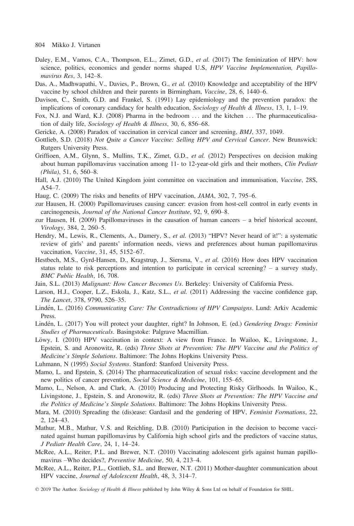- Daley, E.M., Vamos, C.A., Thompson, E.L., Zimet, G.D., et al. (2017) The feminization of HPV: how science, politics, economics and gender norms shaped U.S, HPV Vaccine Implementation, Papillomavirus Res, 3, 142–8.
- Das, A., Madhwapathi, V., Davies, P., Brown, G., et al. (2010) Knowledge and acceptability of the HPV vaccine by school children and their parents in Birmingham, Vaccine, 28, 6, 1440–6.
- Davison, C., Smith, G.D. and Frankel, S. (1991) Lay epidemiology and the prevention paradox: the implications of coronary candidacy for health education, Sociology of Health & Illness, 13, 1, 1–19.
- Fox, N.J. and Ward, K.J. (2008) Pharma in the bedroom ... and the kitchen ... The pharmaceuticalisation of daily life, Sociology of Health & Illness, 30, 6, 856–68.
- Gericke, A. (2008) Paradox of vaccination in cervical cancer and screening, BMJ, 337, 1049.
- Gottlieb, S.D. (2018) Not Quite a Cancer Vaccine: Selling HPV and Cervical Cancer. New Brunswick: Rutgers University Press.
- Griffioen, A.M., Glynn, S., Mullins, T.K., Zimet, G.D., et al. (2012) Perspectives on decision making about human papillomavirus vaccination among 11- to 12-year-old girls and their mothers, Clin Pediatr (Phila), 51, 6, 560–8.
- Hall, A.J. (2010) The United Kingdom joint committee on vaccination and immunisation, Vaccine, 28S, A54–7.
- Haug, C. (2009) The risks and benefits of HPV vaccination, JAMA, 302, 7, 795–6.
- zur Hausen, H. (2000) Papillomaviruses causing cancer: evasion from host-cell control in early events in carcinogenesis, Journal of the National Cancer Institute, 92, 9, 690–8.
- zur Hausen, H. (2009) Papillomaviruses in the causation of human cancers a brief historical account, Virology, 384, 2, 260–5.
- Hendry, M., Lewis, R., Clements, A., Damery, S., et al. (2013) "HPV? Never heard of it!": a systematic review of girls' and parents' information needs, views and preferences about human papillomavirus vaccination, Vaccine, 31, 45, 5152–67.
- Hestbech, M.S., Gyrd-Hansen, D., Kragstrup, J., Siersma, V., et al. (2016) How does HPV vaccination status relate to risk perceptions and intention to participate in cervical screening? – a survey study, BMC Public Health, 16, 708.
- Jain, S.L. (2013) Malignant: How Cancer Becomes Us. Berkeley: University of California Press.
- Larson, H.J., Cooper, L.Z., Eskola, J., Katz, S.L., et al. (2011) Addressing the vaccine confidence gap, The Lancet, 378, 9790, 526–35.
- Lindén, L. (2016) Communicating Care: The Contradictions of HPV Campaigns. Lund: Arkiv Academic Press.
- Linden, L. (2017) You will protect your daughter, right? In Johnson, E. (ed.) Gendering Drugs: Feminist Studies of Pharmaceuticals. Basingstoke: Palgrave Macmillian.
- Löwy, I. (2010) HPV vaccination in context: A view from France. In Wailoo, K., Livingstone, J., Epstein, S. and Aronowitz, R. (eds) Three Shots at Prevention: The HPV Vaccine and the Politics of Medicine's Simple Solutions. Baltimore: The Johns Hopkins University Press.
- Luhmann, N (1995) Social Systems. Stanford: Stanford University Press.
- Mamo, L. and Epstein, S. (2014) The pharmaceuticalization of sexual risks: vaccine development and the new politics of cancer prevention, Social Science & Medicine, 101, 155–65.
- Mamo, L., Nelson, A. and Clark, A. (2010) Producing and Protecting Risky Girlhoods. In Wailoo, K., Livingstone, J., Epstein, S. and Aronowitz, R. (eds) Three Shots at Prevention: The HPV Vaccine and the Politics of Medicine's Simple Solutions. Baltimore: The Johns Hopkins University Press.
- Mara, M. (2010) Spreading the (dis)ease: Gardasil and the gendering of HPV, Feminist Formations, 22, 2, 124–43.
- Mathur, M.B., Mathur, V.S. and Reichling, D.B. (2010) Participation in the decision to become vaccinated against human papillomavirus by California high school girls and the predictors of vaccine status, J Pediatr Health Care, 24, 1, 14–24.
- McRee, A.L., Reiter, P.L. and Brewer, N.T. (2010) Vaccinating adolescent girls against human papillomavirus –Who decides?, Preventive Medicine, 50, 4, 213–4.
- McRee, A.L., Reiter, P.L., Gottlieb, S.L. and Brewer, N.T. (2011) Mother-daughter communication about HPV vaccine, Journal of Adolescent Health, 48, 3, 314–7.
- © 2019 The Author. Sociology of Health & Illness published by John Wiley & Sons Ltd on behalf of Foundation for SHIL.